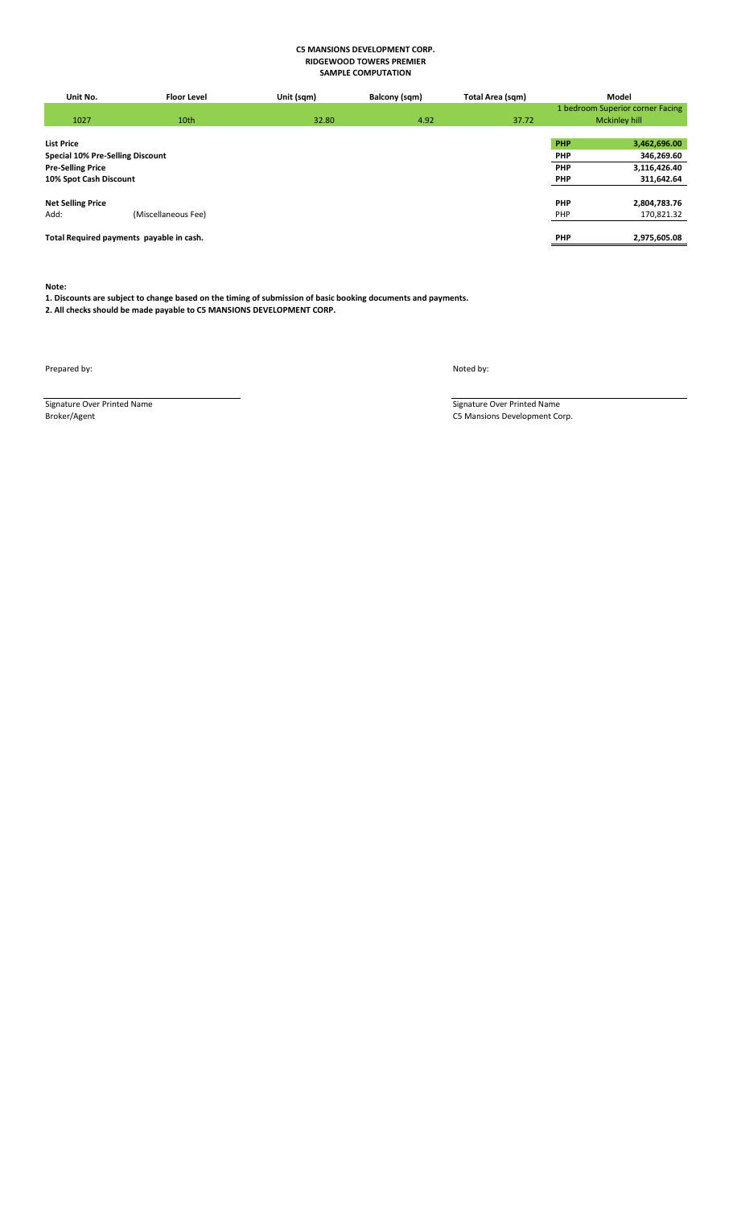| Unit No.                                 | <b>Floor Level</b>  | Unit (sqm) | Balcony (sqm) | Total Area (sqm) |     | Model                            |
|------------------------------------------|---------------------|------------|---------------|------------------|-----|----------------------------------|
|                                          |                     |            |               |                  |     | 1 bedroom Superior corner Facing |
| 1027                                     | 10 <sub>th</sub>    | 32.80      | 4.92          | 37.72            |     | <b>Mckinley hill</b>             |
|                                          |                     |            |               |                  |     |                                  |
| <b>List Price</b>                        |                     |            |               |                  | PHP | 3,462,696.00                     |
| <b>Special 10% Pre-Selling Discount</b>  |                     |            |               |                  | PHP | 346,269.60                       |
| <b>Pre-Selling Price</b>                 |                     |            |               |                  | PHP | 3,116,426.40                     |
| 10% Spot Cash Discount                   |                     |            |               |                  | PHP | 311,642.64                       |
|                                          |                     |            |               |                  |     |                                  |
| <b>Net Selling Price</b>                 |                     |            |               |                  | PHP | 2,804,783.76                     |
| Add:                                     | (Miscellaneous Fee) |            |               |                  | PHP | 170,821.32                       |
|                                          |                     |            |               |                  |     |                                  |
| Total Required payments payable in cash. |                     |            |               |                  | PHP | 2,975,605.08                     |
|                                          |                     |            |               |                  |     |                                  |

**Note:**

**1. Discounts are subject to change based on the timing of submission of basic booking documents and payments.**

**2. All checks should be made payable to C5 MANSIONS DEVELOPMENT CORP.**

Prepared by: Noted by:

Broker/Agent C5 Mansions Development Corp.

Signature Over Printed Name Signature Over Printed Name Signature Over Printed Name Signature Over Printed Name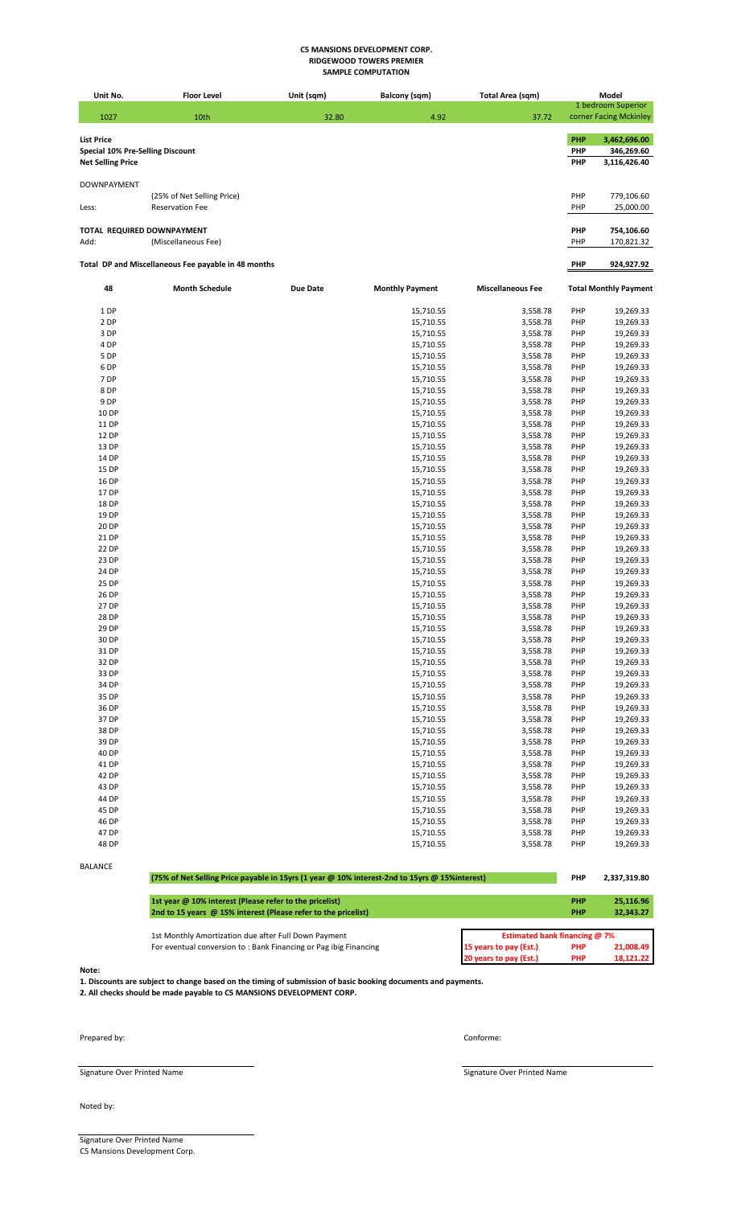|                                                              |                                                     |                 | SAMPLE COMPUTATION     |                          |                   |                              |
|--------------------------------------------------------------|-----------------------------------------------------|-----------------|------------------------|--------------------------|-------------------|------------------------------|
| Unit No.                                                     | <b>Floor Level</b>                                  | Unit (sqm)      | <b>Balcony (sqm)</b>   | Total Area (sqm)         |                   | Model                        |
|                                                              |                                                     |                 |                        |                          |                   | 1 bedroom Superior           |
| 1027                                                         | 10th                                                | 32.80           | 4.92                   | 37.72                    |                   | corner Facing Mckinley       |
|                                                              |                                                     |                 |                        |                          |                   |                              |
| <b>List Price</b>                                            |                                                     |                 |                        |                          | PHP<br>PHP        | 3,462,696.00<br>346,269.60   |
| Special 10% Pre-Selling Discount<br><b>Net Selling Price</b> |                                                     |                 |                        |                          | PHP               | 3,116,426.40                 |
|                                                              |                                                     |                 |                        |                          |                   |                              |
| <b>DOWNPAYMENT</b>                                           |                                                     |                 |                        |                          |                   |                              |
|                                                              | (25% of Net Selling Price)                          |                 |                        |                          | PHP               | 779,106.60                   |
| Less:                                                        | <b>Reservation Fee</b>                              |                 |                        |                          | PHP               | 25,000.00                    |
|                                                              |                                                     |                 |                        |                          |                   |                              |
| TOTAL REQUIRED DOWNPAYMENT                                   |                                                     |                 |                        |                          | PHP               | 754,106.60                   |
| Add:                                                         | (Miscellaneous Fee)                                 |                 |                        |                          | PHP               | 170,821.32                   |
|                                                              | Total DP and Miscellaneous Fee payable in 48 months |                 |                        |                          | PHP               | 924,927.92                   |
|                                                              |                                                     |                 |                        |                          |                   |                              |
| 48                                                           | <b>Month Schedule</b>                               | <b>Due Date</b> | <b>Monthly Payment</b> | <b>Miscellaneous Fee</b> |                   | <b>Total Monthly Payment</b> |
|                                                              |                                                     |                 |                        |                          |                   |                              |
| 1 DP                                                         |                                                     |                 | 15,710.55              | 3,558.78                 | PHP               | 19,269.33                    |
| 2 DP                                                         |                                                     |                 | 15,710.55              | 3,558.78                 | PHP               | 19,269.33                    |
| 3 DP                                                         |                                                     |                 | 15,710.55              | 3,558.78                 | PHP               | 19,269.33                    |
| 4 DP                                                         |                                                     |                 | 15,710.55              | 3,558.78                 | PHP               | 19,269.33                    |
| 5 DP                                                         |                                                     |                 | 15,710.55              | 3,558.78                 | PHP               | 19,269.33                    |
| 6 DP                                                         |                                                     |                 | 15,710.55              | 3,558.78                 | PHP               | 19,269.33                    |
| 7 DP<br>8 DP                                                 |                                                     |                 | 15,710.55              | 3,558.78                 | PHP<br>PHP        | 19,269.33                    |
| 9 DP                                                         |                                                     |                 | 15,710.55<br>15,710.55 | 3,558.78<br>3,558.78     | PHP               | 19,269.33<br>19,269.33       |
| 10 DP                                                        |                                                     |                 | 15,710.55              | 3,558.78                 | PHP               | 19,269.33                    |
| 11 DP                                                        |                                                     |                 | 15,710.55              | 3,558.78                 | PHP               | 19,269.33                    |
| 12 DP                                                        |                                                     |                 | 15,710.55              | 3,558.78                 | PHP               | 19,269.33                    |
| 13 DP                                                        |                                                     |                 | 15,710.55              | 3,558.78                 | PHP               | 19,269.33                    |
| 14 DP                                                        |                                                     |                 | 15,710.55              | 3,558.78                 | PHP               | 19,269.33                    |
| 15 DP                                                        |                                                     |                 | 15,710.55              | 3,558.78                 | PHP               | 19,269.33                    |
| 16 DP                                                        |                                                     |                 | 15,710.55              | 3,558.78                 | PHP               | 19,269.33                    |
| 17 DP                                                        |                                                     |                 | 15,710.55              | 3,558.78                 | PHP               | 19,269.33                    |
| 18 DP                                                        |                                                     |                 | 15,710.55              | 3,558.78                 | PHP               | 19,269.33                    |
| 19 DP                                                        |                                                     |                 | 15,710.55              | 3,558.78                 | PHP               | 19,269.33                    |
| 20 DP<br>21 DP                                               |                                                     |                 | 15,710.55              | 3,558.78                 | PHP<br>PHP        | 19,269.33                    |
| 22 DP                                                        |                                                     |                 | 15,710.55<br>15,710.55 | 3,558.78<br>3,558.78     | PHP               | 19,269.33<br>19,269.33       |
| 23 DP                                                        |                                                     |                 | 15,710.55              | 3,558.78                 | PHP               | 19,269.33                    |
| 24 DP                                                        |                                                     |                 | 15,710.55              | 3,558.78                 | PHP               | 19,269.33                    |
| 25 DP                                                        |                                                     |                 | 15,710.55              | 3,558.78                 | PHP               | 19,269.33                    |
| 26 DP                                                        |                                                     |                 | 15,710.55              | 3,558.78                 | PHP               | 19,269.33                    |
| 27 DP                                                        |                                                     |                 | 15,710.55              | 3,558.78                 | PHP               | 19,269.33                    |
| 28 DP                                                        |                                                     |                 | 15,710.55              | 3,558.78                 | PHP               | 19,269.33                    |
| 29 DP                                                        |                                                     |                 | 15,710.55              | 3,558.78                 | PHP               | 19,269.33                    |
| 30 DP                                                        |                                                     |                 | 15,710.55              | 3,558.78                 | PHP               | 19,269.33                    |
| 31 DP                                                        |                                                     |                 | 15,710.55              | 3,558.78                 | PHP               | 19,269.33                    |
| 32 DP                                                        |                                                     |                 | 15,710.55              | 3,558.78                 | <b>PHP</b>        | 19,269.33                    |
| 33 DP                                                        |                                                     |                 | 15,710.55              | 3,558.78                 | PHP               | 19,269.33                    |
| 34 DP<br>35 DP                                               |                                                     |                 | 15,710.55<br>15,710.55 | 3,558.78<br>3,558.78     | PHP<br>PHP        | 19,269.33<br>19,269.33       |
| 36 DP                                                        |                                                     |                 | 15,710.55              | 3,558.78                 | PHP               | 19,269.33                    |
| 37 DP                                                        |                                                     |                 | 15,710.55              | 3,558.78                 | PHP               | 19,269.33                    |
| 38 DP                                                        |                                                     |                 | 15,710.55              | 3,558.78                 | <b>PHP</b>        | 19,269.33                    |
| 39 DP                                                        |                                                     |                 | 15,710.55              | 3,558.78                 | <b>PHP</b>        | 19,269.33                    |
| 40 DP                                                        |                                                     |                 | 15,710.55              | 3,558.78                 | PHP               | 19,269.33                    |
| 41 DP                                                        |                                                     |                 | 15,710.55              | 3,558.78                 | PHP               | 19,269.33                    |
| 42 DP                                                        |                                                     |                 | 15,710.55              | 3,558.78                 | PHP               | 19,269.33                    |
| 43 DP                                                        |                                                     |                 | 15,710.55              | 3,558.78                 | <b>PHP</b>        | 19,269.33                    |
| 44 DP                                                        |                                                     |                 | 15,710.55              | 3,558.78                 | PHP               | 19,269.33                    |
| 45 DP                                                        |                                                     |                 | 15,710.55              | 3,558.78                 | PHP               | 19,269.33                    |
| 46 DP<br>47 DP                                               |                                                     |                 | 15,710.55              | 3,558.78                 | <b>PHP</b><br>PHP | 19,269.33<br>19,269.33       |
| 48 DP                                                        |                                                     |                 | 15,710.55<br>15,710.55 | 3,558.78<br>3,558.78     | PHP               | 19,269.33                    |
|                                                              |                                                     |                 |                        |                          |                   |                              |
| <b>BALANCE</b>                                               |                                                     |                 |                        |                          |                   |                              |

**(75% of Net Selling Price payable in 15yrs (1 year @ 10% interest-2nd to 15yrs @ 15%interest) PHP 2,337,319.80 1st year @ 10% interest (Please refer to the pricelist) PHP 25,116.96 2nd to 15 years @ 15% interest (Please refer to the pricelist) PHP 32,343.27** 1st Monthly Amortization due after Full Down Payment For eventual conversion to : Bank Financing or Pag ibig Financing **15 years to pay (Est.) PHP 21,008.49**<br>**20 years to pay (Est.) PHP** 18,121.22 **20 years to pay (Est.) Estimated bank financing @ 7%**

**Note:**

**1. Discounts are subject to change based on the timing of submission of basic booking documents and payments. 2. All checks should be made payable to C5 MANSIONS DEVELOPMENT CORP.**

Prepared by: Conforme:

Signature Over Printed Name **Signature Over Printed Name** Signature Over Printed Name

Noted by:

Signature Over Printed Name C5 Mansions Development Corp.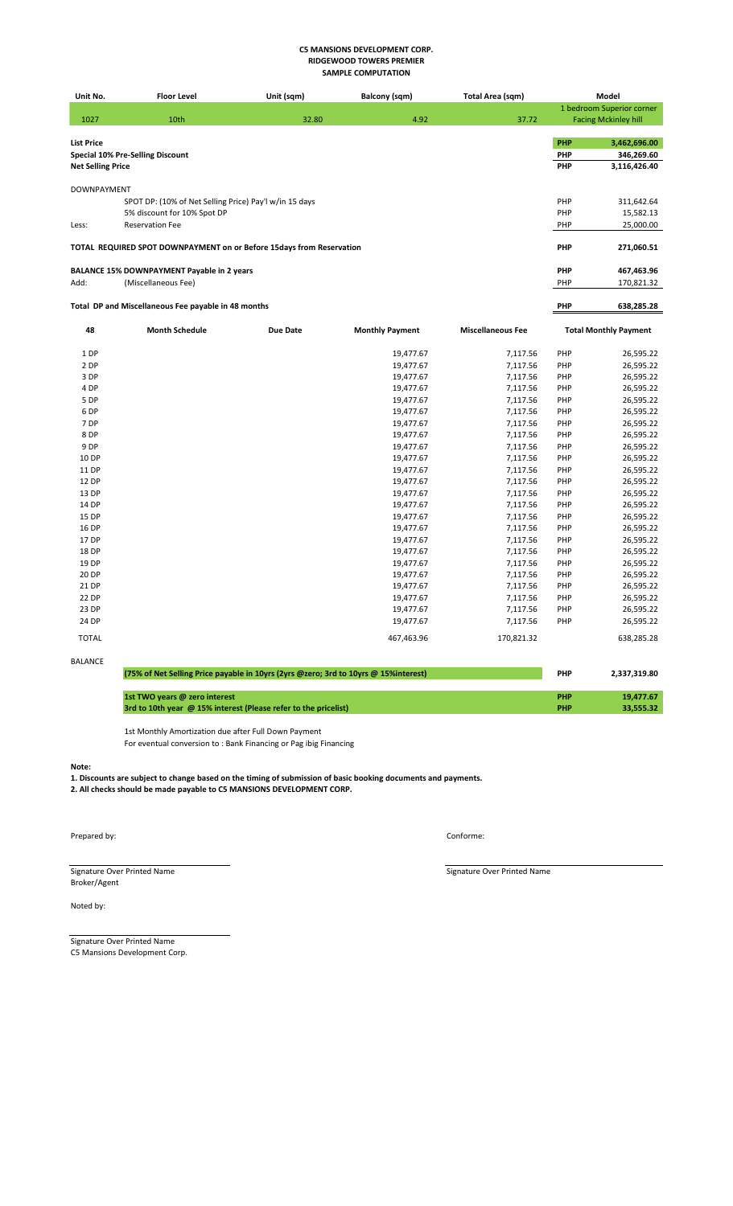| Unit No.                 | <b>Floor Level</b>                                                    | Unit (sqm) | Balcony (sqm) | Total Area (sqm) |            | Model                       |
|--------------------------|-----------------------------------------------------------------------|------------|---------------|------------------|------------|-----------------------------|
|                          |                                                                       |            |               |                  |            | 1 bedroom Superior corner   |
| 1027                     | 10th                                                                  | 32.80      | 4.92          | 37.72            |            | <b>Facing Mckinley hill</b> |
|                          |                                                                       |            |               |                  |            |                             |
| <b>List Price</b>        |                                                                       |            |               |                  | <b>PHP</b> | 3,462,696.00                |
|                          | <b>Special 10% Pre-Selling Discount</b>                               |            |               |                  | <b>PHP</b> | 346,269.60                  |
| <b>Net Selling Price</b> |                                                                       |            |               |                  | PHP        | 3,116,426.40                |
|                          |                                                                       |            |               |                  |            |                             |
| <b>DOWNPAYMENT</b>       |                                                                       |            |               |                  |            |                             |
|                          | SPOT DP: (10% of Net Selling Price) Pay'l w/in 15 days                |            |               |                  | PHP        | 311,642.64                  |
|                          | 5% discount for 10% Spot DP                                           |            |               |                  | PHP        | 15,582.13                   |
| Less:                    | <b>Reservation Fee</b>                                                |            |               |                  | PHP        | 25,000.00                   |
|                          |                                                                       |            |               |                  |            |                             |
|                          | TOTAL REQUIRED SPOT DOWNPAYMENT on or Before 15 days from Reservation |            |               |                  | <b>PHP</b> | 271,060.51                  |
|                          |                                                                       |            |               |                  |            |                             |
|                          | <b>BALANCE 15% DOWNPAYMENT Payable in 2 years</b>                     |            |               |                  | <b>PHP</b> | 467,463.96                  |
| Add:                     | (Miscellaneous Fee)                                                   |            |               |                  | PHP        | 170,821.32                  |
|                          |                                                                       |            |               |                  |            |                             |
|                          | Total DP and Miscellaneous Fee payable in 48 months                   |            |               |                  | <b>PHP</b> | 638,285.28                  |

| 48           | <b>Month Schedule</b> | <b>Due Date</b> | <b>Monthly Payment</b> | <b>Miscellaneous Fee</b> |     | <b>Total Monthly Payment</b> |
|--------------|-----------------------|-----------------|------------------------|--------------------------|-----|------------------------------|
| 1 DP         |                       |                 | 19,477.67              | 7,117.56                 | PHP | 26,595.22                    |
| 2 DP         |                       |                 | 19,477.67              | 7,117.56                 | PHP | 26,595.22                    |
| 3 DP         |                       |                 | 19,477.67              | 7,117.56                 | PHP | 26,595.22                    |
| 4 DP         |                       |                 | 19,477.67              | 7,117.56                 | PHP | 26,595.22                    |
| 5 DP         |                       |                 | 19,477.67              | 7,117.56                 | PHP | 26,595.22                    |
| 6 DP         |                       |                 | 19,477.67              | 7,117.56                 | PHP | 26,595.22                    |
| 7 DP         |                       |                 | 19,477.67              | 7,117.56                 | PHP | 26,595.22                    |
| 8 DP         |                       |                 | 19,477.67              | 7,117.56                 | PHP | 26,595.22                    |
| 9 DP         |                       |                 | 19,477.67              | 7,117.56                 | PHP | 26,595.22                    |
| 10 DP        |                       |                 | 19,477.67              | 7,117.56                 | PHP | 26,595.22                    |
| 11 DP        |                       |                 | 19,477.67              | 7,117.56                 | PHP | 26,595.22                    |
| 12 DP        |                       |                 | 19,477.67              | 7,117.56                 | PHP | 26,595.22                    |
| 13 DP        |                       |                 | 19,477.67              | 7,117.56                 | PHP | 26,595.22                    |
| 14 DP        |                       |                 | 19,477.67              | 7,117.56                 | PHP | 26,595.22                    |
| 15 DP        |                       |                 | 19,477.67              | 7,117.56                 | PHP | 26,595.22                    |
| 16 DP        |                       |                 | 19,477.67              | 7,117.56                 | PHP | 26,595.22                    |
| 17 DP        |                       |                 | 19,477.67              | 7,117.56                 | PHP | 26,595.22                    |
| 18 DP        |                       |                 | 19,477.67              | 7,117.56                 | PHP | 26,595.22                    |
| 19 DP        |                       |                 | 19,477.67              | 7,117.56                 | PHP | 26,595.22                    |
| 20 DP        |                       |                 | 19,477.67              | 7,117.56                 | PHP | 26,595.22                    |
| 21 DP        |                       |                 | 19,477.67              | 7,117.56                 | PHP | 26,595.22                    |
| 22 DP        |                       |                 | 19,477.67              | 7,117.56                 | PHP | 26,595.22                    |
| 23 DP        |                       |                 | 19,477.67              | 7,117.56                 | PHP | 26,595.22                    |
| 24 DP        |                       |                 | 19,477.67              | 7,117.56                 | PHP | 26,595.22                    |
| <b>TOTAL</b> |                       |                 | 467,463.96             | 170,821.32               |     | 638,285.28                   |

BALANCE

| (75% of Net Selling Price payable in 10yrs (2yrs @zero; 3rd to 10yrs @ 15%interest) | <b>PHP</b> | 2.337.319.80 |
|-------------------------------------------------------------------------------------|------------|--------------|
| 1st TWO years @ zero interest                                                       | <b>PHP</b> | 19.477.67    |
| 3rd to 10th year @ 15% interest (Please refer to the pricelist)                     | <b>PHP</b> | 33,555.32    |

1st Monthly Amortization due after Full Down Payment

For eventual conversion to : Bank Financing or Pag ibig Financing

**Note:**

**1. Discounts are subject to change based on the timing of submission of basic booking documents and payments.**

**2. All checks should be made payable to C5 MANSIONS DEVELOPMENT CORP.**

Prepared by: Conforme:

Signature Over Printed Name **Signature Over Printed Name** Broker/Agent

Noted by:

Signature Over Printed Name C5 Mansions Development Corp.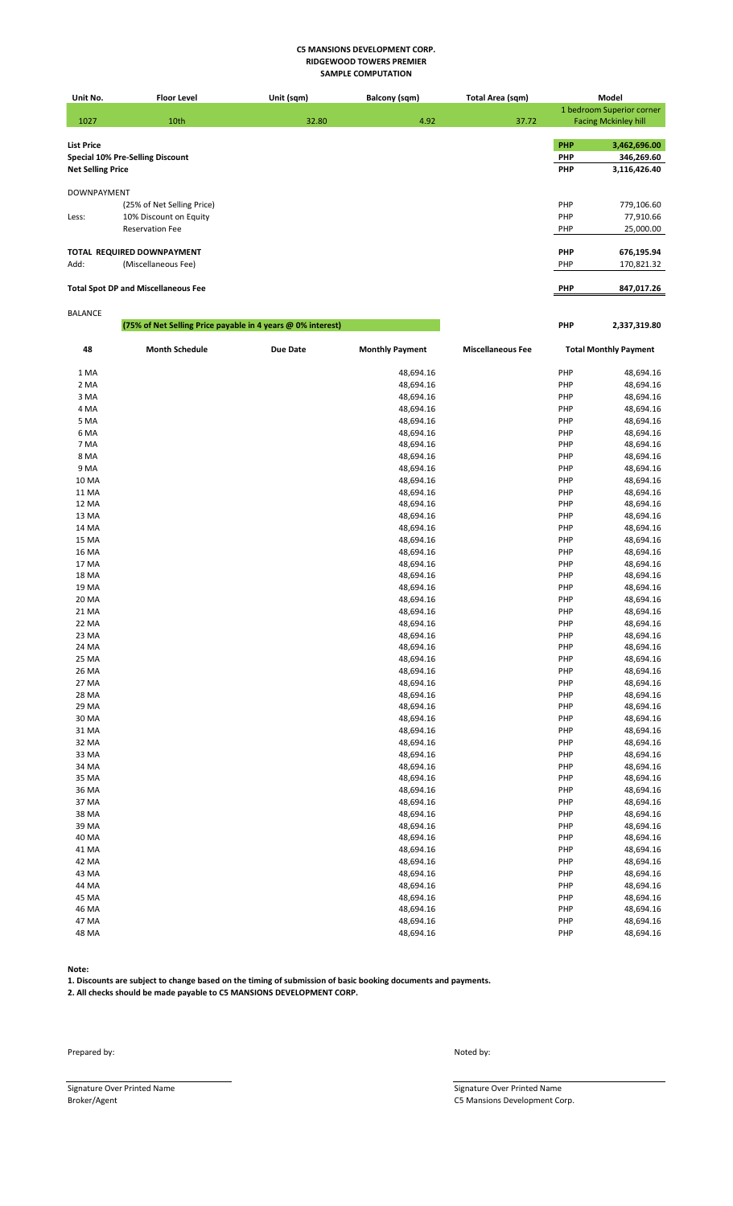| Unit No.                 | <b>Floor Level</b>                                          | Unit (sqm)      | <b>Balcony (sqm)</b>   | Total Area (sqm)         |            | Model                        |
|--------------------------|-------------------------------------------------------------|-----------------|------------------------|--------------------------|------------|------------------------------|
|                          |                                                             |                 |                        |                          |            | 1 bedroom Superior corner    |
| 1027                     | 10th                                                        | 32.80           | 4.92                   | 37.72                    |            | <b>Facing Mckinley hill</b>  |
|                          |                                                             |                 |                        |                          |            |                              |
| <b>List Price</b>        |                                                             |                 |                        |                          | <b>PHP</b> | 3,462,696.00                 |
|                          | <b>Special 10% Pre-Selling Discount</b>                     |                 |                        |                          | PHP        | 346,269.60                   |
| <b>Net Selling Price</b> |                                                             |                 |                        |                          | PHP        | 3,116,426.40                 |
|                          |                                                             |                 |                        |                          |            |                              |
| <b>DOWNPAYMENT</b>       |                                                             |                 |                        |                          | PHP        | 779,106.60                   |
| Less:                    | (25% of Net Selling Price)<br>10% Discount on Equity        |                 |                        |                          | PHP        | 77,910.66                    |
|                          | <b>Reservation Fee</b>                                      |                 |                        |                          | PHP        | 25,000.00                    |
|                          |                                                             |                 |                        |                          |            |                              |
|                          | TOTAL REQUIRED DOWNPAYMENT                                  |                 |                        |                          | PHP        | 676,195.94                   |
| Add:                     | (Miscellaneous Fee)                                         |                 |                        |                          | PHP        | 170,821.32                   |
|                          |                                                             |                 |                        |                          |            |                              |
|                          | <b>Total Spot DP and Miscellaneous Fee</b>                  |                 |                        |                          | PHP        | 847,017.26                   |
|                          |                                                             |                 |                        |                          |            |                              |
| <b>BALANCE</b>           |                                                             |                 |                        |                          |            |                              |
|                          | (75% of Net Selling Price payable in 4 years @ 0% interest) |                 |                        |                          | PHP        | 2,337,319.80                 |
|                          |                                                             |                 |                        |                          |            |                              |
| 48                       | <b>Month Schedule</b>                                       | <b>Due Date</b> | <b>Monthly Payment</b> | <b>Miscellaneous Fee</b> |            | <b>Total Monthly Payment</b> |
|                          |                                                             |                 |                        |                          |            |                              |
| 1 MA                     |                                                             |                 | 48,694.16              |                          | PHP        | 48,694.16                    |
| 2 MA                     |                                                             |                 | 48,694.16              |                          | PHP        | 48,694.16                    |
| 3 MA                     |                                                             |                 | 48,694.16              |                          | PHP        | 48,694.16                    |
| 4 MA                     |                                                             |                 | 48,694.16              |                          | PHP        | 48,694.16                    |
| 5 MA                     |                                                             |                 | 48,694.16              |                          | PHP        | 48,694.16                    |
| 6 MA                     |                                                             |                 | 48,694.16              |                          | PHP        | 48,694.16                    |
| 7 MA                     |                                                             |                 | 48,694.16              |                          | PHP        | 48,694.16                    |
| 8 MA                     |                                                             |                 | 48,694.16              |                          | PHP        | 48,694.16                    |
| 9 MA                     |                                                             |                 | 48,694.16              |                          | PHP        | 48,694.16                    |
| 10 MA                    |                                                             |                 | 48,694.16              |                          | PHP        | 48,694.16                    |
| 11 MA                    |                                                             |                 | 48,694.16              |                          | PHP        | 48,694.16                    |
| 12 MA                    |                                                             |                 | 48,694.16              |                          | PHP        | 48,694.16                    |
| 13 MA                    |                                                             |                 | 48,694.16              |                          | PHP        | 48,694.16                    |
| 14 MA                    |                                                             |                 | 48,694.16              |                          | PHP        | 48,694.16                    |
| 15 MA                    |                                                             |                 | 48,694.16              |                          | PHP        | 48,694.16                    |
| 16 MA                    |                                                             |                 | 48,694.16              |                          | PHP        | 48,694.16                    |
| 17 MA                    |                                                             |                 | 48,694.16              |                          | PHP        | 48,694.16                    |
| 18 MA                    |                                                             |                 | 48,694.16              |                          | PHP        | 48,694.16                    |
| 19 MA                    |                                                             |                 | 48,694.16              |                          | PHP        | 48,694.16                    |
| 20 MA                    |                                                             |                 | 48,694.16              |                          | PHP        | 48,694.16                    |
| 21 MA                    |                                                             |                 | 48,694.16              |                          | PHP        | 48,694.16                    |
| 22 MA                    |                                                             |                 | 48,694.16              |                          | PHP        | 48,694.16                    |
| 23 MA                    |                                                             |                 | 48,694.16              |                          | PHP        | 48,694.16                    |
| 24 MA                    |                                                             |                 | 48,694.16              |                          | PHP        | 48,694.16                    |
| 25 MA                    |                                                             |                 | 48,694.16              |                          | PHP        | 48,694.16                    |
| 26 MA<br>27 MA           |                                                             |                 | 48,694.16<br>48,694.16 |                          | PHP        | 48,694.16                    |
|                          |                                                             |                 |                        |                          | PHP<br>PHP | 48,694.16<br>48,694.16       |
| 28 MA<br>29 MA           |                                                             |                 | 48,694.16<br>48,694.16 |                          | PHP        | 48,694.16                    |
| 30 MA                    |                                                             |                 | 48,694.16              |                          | PHP        | 48,694.16                    |
| 31 MA                    |                                                             |                 | 48,694.16              |                          | PHP        | 48,694.16                    |
| 32 MA                    |                                                             |                 | 48,694.16              |                          | PHP        | 48,694.16                    |
| 33 MA                    |                                                             |                 | 48,694.16              |                          | PHP        | 48,694.16                    |
| 34 MA                    |                                                             |                 | 48,694.16              |                          | PHP        | 48,694.16                    |
| 35 MA                    |                                                             |                 | 48,694.16              |                          | PHP        | 48,694.16                    |
| 36 MA                    |                                                             |                 | 48,694.16              |                          | PHP        | 48,694.16                    |
| 37 MA                    |                                                             |                 | 48,694.16              |                          | PHP        | 48,694.16                    |
| 38 MA                    |                                                             |                 | 48,694.16              |                          | PHP        | 48,694.16                    |
| 39 MA                    |                                                             |                 | 48,694.16              |                          | PHP        | 48,694.16                    |
| 40 MA                    |                                                             |                 | 48,694.16              |                          | PHP        | 48,694.16                    |
| 41 MA                    |                                                             |                 | 48,694.16              |                          | PHP        | 48,694.16                    |
| 42 MA                    |                                                             |                 | 48,694.16              |                          | PHP        | 48,694.16                    |
| 43 MA                    |                                                             |                 | 48,694.16              |                          | PHP        | 48,694.16                    |
| 44 MA                    |                                                             |                 | 48,694.16              |                          | PHP        | 48,694.16                    |
| 45 MA                    |                                                             |                 | 48,694.16              |                          | PHP        | 48,694.16                    |
| 46 MA                    |                                                             |                 | 48,694.16              |                          | PHP        | 48,694.16                    |
| 47 MA                    |                                                             |                 | 48,694.16              |                          | PHP        | 48,694.16                    |
| 48 MA                    |                                                             |                 | 48,694.16              |                          | PHP        | 48,694.16                    |

**Note:**

**1. Discounts are subject to change based on the timing of submission of basic booking documents and payments.**

**2. All checks should be made payable to C5 MANSIONS DEVELOPMENT CORP.**

Prepared by: Noted by:

Signature Over Printed Name Signature Over Printed Name Signature Over Printed Name Signature Over Printed Name Signature Over Printed Name Signature Over Printed Name Signature Over Printed Name Signature Over Printed Nam

C5 Mansions Development Corp.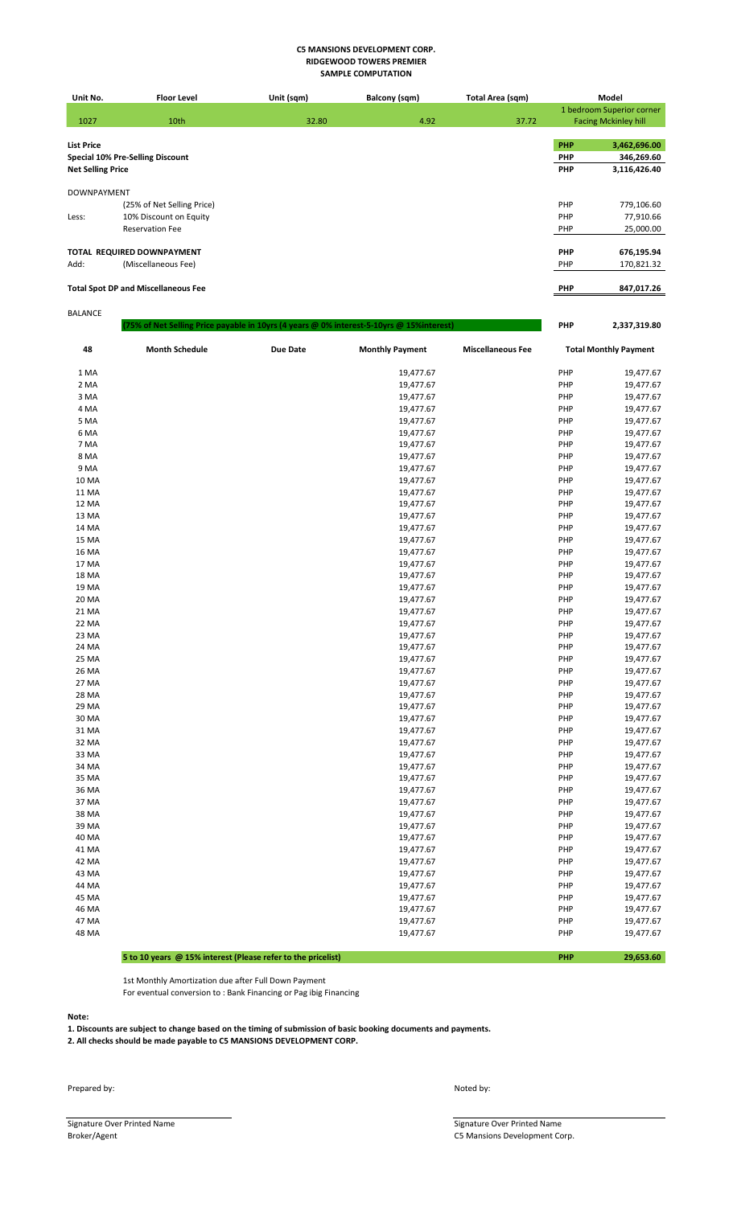| Unit No.                 | <b>Floor Level</b>                                                                      | Unit (sqm)      | <b>Balcony (sqm)</b>   | Total Area (sqm)         |                   | Model                        |
|--------------------------|-----------------------------------------------------------------------------------------|-----------------|------------------------|--------------------------|-------------------|------------------------------|
|                          |                                                                                         |                 |                        |                          |                   | 1 bedroom Superior corner    |
| 1027                     | 10th                                                                                    | 32.80           | 4.92                   | 37.72                    |                   | <b>Facing Mckinley hill</b>  |
| <b>List Price</b>        |                                                                                         |                 |                        |                          | <b>PHP</b>        | 3,462,696.00                 |
|                          | <b>Special 10% Pre-Selling Discount</b>                                                 |                 |                        |                          | <b>PHP</b>        | 346,269.60                   |
| <b>Net Selling Price</b> |                                                                                         |                 |                        |                          | PHP               | 3,116,426.40                 |
|                          |                                                                                         |                 |                        |                          |                   |                              |
| <b>DOWNPAYMENT</b>       |                                                                                         |                 |                        |                          | PHP               | 779,106.60                   |
| Less:                    | (25% of Net Selling Price)<br>10% Discount on Equity                                    |                 |                        |                          | PHP               | 77,910.66                    |
|                          | <b>Reservation Fee</b>                                                                  |                 |                        |                          | <b>PHP</b>        | 25,000.00                    |
|                          |                                                                                         |                 |                        |                          |                   |                              |
|                          | TOTAL REQUIRED DOWNPAYMENT                                                              |                 |                        |                          | PHP               | 676,195.94                   |
| Add:                     | (Miscellaneous Fee)                                                                     |                 |                        |                          | <b>PHP</b>        | 170,821.32                   |
|                          |                                                                                         |                 |                        |                          |                   | 847,017.26                   |
|                          | <b>Total Spot DP and Miscellaneous Fee</b>                                              |                 |                        |                          | <b>PHP</b>        |                              |
| <b>BALANCE</b>           |                                                                                         |                 |                        |                          |                   |                              |
|                          | 75% of Net Selling Price payable in 10yrs (4 years @ 0% interest-5-10yrs @ 15%interest) |                 |                        |                          | <b>PHP</b>        | 2,337,319.80                 |
|                          |                                                                                         |                 |                        |                          |                   |                              |
| 48                       | <b>Month Schedule</b>                                                                   | <b>Due Date</b> | <b>Monthly Payment</b> | <b>Miscellaneous Fee</b> |                   | <b>Total Monthly Payment</b> |
|                          |                                                                                         |                 |                        |                          |                   |                              |
| 1 MA                     |                                                                                         |                 | 19,477.67              |                          | PHP<br>PHP        | 19,477.67                    |
| 2 MA<br>3 MA             |                                                                                         |                 | 19,477.67<br>19,477.67 |                          | PHP               | 19,477.67<br>19,477.67       |
| 4 MA                     |                                                                                         |                 | 19,477.67              |                          | PHP               | 19,477.67                    |
| 5 MA                     |                                                                                         |                 | 19,477.67              |                          | PHP               | 19,477.67                    |
| 6 MA                     |                                                                                         |                 | 19,477.67              |                          | PHP               | 19,477.67                    |
| 7 MA                     |                                                                                         |                 | 19,477.67              |                          | PHP               | 19,477.67                    |
| 8 MA                     |                                                                                         |                 | 19,477.67              |                          | PHP               | 19,477.67                    |
| 9 MA                     |                                                                                         |                 | 19,477.67              |                          | PHP               | 19,477.67                    |
| <b>10 MA</b>             |                                                                                         |                 | 19,477.67              |                          | PHP               | 19,477.67                    |
| <b>11 MA</b>             |                                                                                         |                 | 19,477.67              |                          | PHP               | 19,477.67                    |
| <b>12 MA</b><br>13 MA    |                                                                                         |                 | 19,477.67<br>19,477.67 |                          | PHP<br>PHP        | 19,477.67<br>19,477.67       |
| 14 MA                    |                                                                                         |                 | 19,477.67              |                          | PHP               | 19,477.67                    |
| 15 MA                    |                                                                                         |                 | 19,477.67              |                          | PHP               | 19,477.67                    |
| <b>16 MA</b>             |                                                                                         |                 | 19,477.67              |                          | PHP               | 19,477.67                    |
| 17 MA                    |                                                                                         |                 | 19,477.67              |                          | PHP               | 19,477.67                    |
| <b>18 MA</b>             |                                                                                         |                 | 19,477.67              |                          | PHP               | 19,477.67                    |
| 19 MA                    |                                                                                         |                 | 19,477.67              |                          | PHP               | 19,477.67                    |
| 20 MA                    |                                                                                         |                 | 19,477.67              |                          | PHP               | 19,477.67                    |
| 21 MA<br>22 MA           |                                                                                         |                 | 19,477.67<br>19,477.67 |                          | PHP<br>PHP        | 19,477.67<br>19,477.67       |
| 23 MA                    |                                                                                         |                 | 19,477.67              |                          | PHP               | 19,477.67                    |
| 24 MA                    |                                                                                         |                 | 19,477.67              |                          | PHP               | 19,477.67                    |
| 25 MA                    |                                                                                         |                 | 19,477.67              |                          | PHP               | 19,477.67                    |
| 26 MA                    |                                                                                         |                 | 19,477.67              |                          | PHP               | 19,477.67                    |
| 27 MA                    |                                                                                         |                 | 19,477.67              |                          | PHP               | 19,477.67                    |
| 28 MA                    |                                                                                         |                 | 19,477.67              |                          | PHP               | 19,477.67                    |
| 29 MA                    |                                                                                         |                 | 19,477.67              |                          | PHP               | 19,477.67                    |
| 30 MA<br>31 MA           |                                                                                         |                 | 19,477.67<br>19,477.67 |                          | PHP<br><b>PHP</b> | 19,477.67<br>19,477.67       |
| 32 MA                    |                                                                                         |                 | 19,477.67              |                          | PHP               | 19,477.67                    |
| 33 MA                    |                                                                                         |                 | 19,477.67              |                          | PHP               | 19,477.67                    |
| 34 MA                    |                                                                                         |                 | 19,477.67              |                          | <b>PHP</b>        | 19,477.67                    |
| 35 MA                    |                                                                                         |                 | 19,477.67              |                          | PHP               | 19,477.67                    |
| 36 MA                    |                                                                                         |                 | 19,477.67              |                          | <b>PHP</b>        | 19,477.67                    |
| 37 MA                    |                                                                                         |                 | 19,477.67              |                          | <b>PHP</b>        | 19,477.67                    |
| 38 MA                    |                                                                                         |                 | 19,477.67              |                          | <b>PHP</b>        | 19,477.67                    |
| 39 MA<br>40 MA           |                                                                                         |                 | 19,477.67<br>19,477.67 |                          | <b>PHP</b><br>PHP | 19,477.67<br>19,477.67       |
| 41 MA                    |                                                                                         |                 | 19,477.67              |                          | PHP               | 19,477.67                    |
| 42 MA                    |                                                                                         |                 | 19,477.67              |                          | PHP               | 19,477.67                    |
| 43 MA                    |                                                                                         |                 | 19,477.67              |                          | PHP               | 19,477.67                    |
| 44 MA                    |                                                                                         |                 | 19,477.67              |                          | <b>PHP</b>        | 19,477.67                    |
| 45 MA                    |                                                                                         |                 | 19,477.67              |                          | <b>PHP</b>        | 19,477.67                    |
| 46 MA                    |                                                                                         |                 | 19,477.67              |                          | PHP               | 19,477.67                    |
| 47 MA                    |                                                                                         |                 | 19,477.67              |                          | <b>PHP</b>        | 19,477.67                    |
| 48 MA                    |                                                                                         |                 | 19,477.67              |                          | <b>PHP</b>        | 19,477.67                    |

**5 to 10 years @ 15% interest (Please refer to the pricelist) PHP 29,653.60**

1st Monthly Amortization due after Full Down Payment

For eventual conversion to : Bank Financing or Pag ibig Financing

# **Note:**

**1. Discounts are subject to change based on the timing of submission of basic booking documents and payments.**

**2. All checks should be made payable to C5 MANSIONS DEVELOPMENT CORP.**

Prepared by: Noted by:

Signature Over Printed Name **Signature Over Printed Name** Signature Over Printed Name Broker/Agent C5 Mansions Development Corp.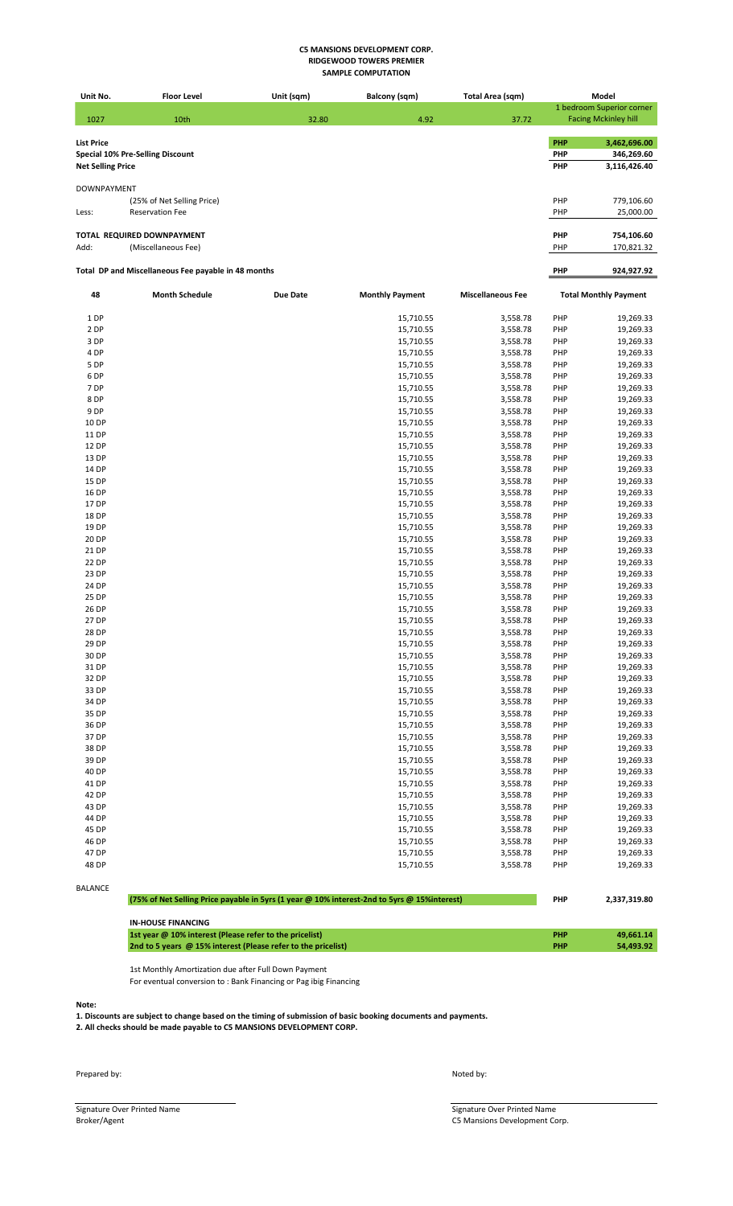| Unit No.                                            | <b>Floor Level</b>                             | Unit (sqm) | Balcony (sqm) | <b>Total Area (sqm)</b> |            | Model                       |  |
|-----------------------------------------------------|------------------------------------------------|------------|---------------|-------------------------|------------|-----------------------------|--|
|                                                     |                                                |            |               |                         |            | 1 bedroom Superior corner   |  |
| 1027                                                | 10th                                           | 32.80      | 4.92          | 37.72                   |            | <b>Facing Mckinley hill</b> |  |
|                                                     |                                                |            |               |                         |            |                             |  |
| <b>List Price</b>                                   |                                                |            |               |                         | <b>PHP</b> | 3,462,696.00                |  |
|                                                     | <b>PHP</b><br>Special 10% Pre-Selling Discount |            |               |                         |            |                             |  |
| <b>Net Selling Price</b>                            |                                                |            |               |                         | PHP        | 3,116,426.40                |  |
|                                                     |                                                |            |               |                         |            |                             |  |
| <b>DOWNPAYMENT</b>                                  |                                                |            |               |                         |            |                             |  |
|                                                     | (25% of Net Selling Price)                     |            |               |                         | <b>PHP</b> | 779,106.60                  |  |
| Less:                                               | <b>Reservation Fee</b>                         |            |               |                         | PHP        | 25,000.00                   |  |
|                                                     |                                                |            |               |                         |            |                             |  |
|                                                     | TOTAL REQUIRED DOWNPAYMENT                     |            |               |                         | <b>PHP</b> | 754,106.60                  |  |
| Add:                                                | (Miscellaneous Fee)                            |            |               |                         | PHP        | 170,821.32                  |  |
|                                                     |                                                |            |               |                         |            |                             |  |
| Total DP and Miscellaneous Fee payable in 48 months |                                                |            |               |                         | <b>PHP</b> | 924,927.92                  |  |

| 48    | <b>Month Schedule</b> | <b>Due Date</b> | <b>Monthly Payment</b> | <b>Miscellaneous Fee</b> |     | <b>Total Monthly Payment</b> |
|-------|-----------------------|-----------------|------------------------|--------------------------|-----|------------------------------|
| 1 DP  |                       |                 | 15,710.55              | 3,558.78                 | PHP | 19,269.33                    |
| 2 DP  |                       |                 | 15,710.55              | 3,558.78                 | PHP | 19,269.33                    |
| 3 DP  |                       |                 | 15,710.55              | 3,558.78                 | PHP | 19,269.33                    |
| 4 DP  |                       |                 | 15,710.55              | 3,558.78                 | PHP | 19,269.33                    |
| 5 DP  |                       |                 | 15,710.55              | 3,558.78                 | PHP | 19,269.33                    |
| 6 DP  |                       |                 | 15,710.55              | 3,558.78                 | PHP | 19,269.33                    |
| 7 DP  |                       |                 | 15,710.55              | 3,558.78                 | PHP | 19,269.33                    |
| 8 DP  |                       |                 | 15,710.55              | 3,558.78                 | PHP | 19,269.33                    |
| 9 DP  |                       |                 | 15,710.55              | 3,558.78                 | PHP | 19,269.33                    |
| 10 DP |                       |                 | 15,710.55              | 3,558.78                 | PHP | 19,269.33                    |
| 11 DP |                       |                 | 15,710.55              | 3,558.78                 | PHP | 19,269.33                    |
| 12 DP |                       |                 | 15,710.55              | 3,558.78                 | PHP | 19,269.33                    |
| 13 DP |                       |                 | 15,710.55              | 3,558.78                 | PHP | 19,269.33                    |
| 14 DP |                       |                 | 15,710.55              | 3,558.78                 | PHP | 19,269.33                    |
| 15 DP |                       |                 | 15,710.55              | 3,558.78                 | PHP | 19,269.33                    |
| 16 DP |                       |                 | 15,710.55              | 3,558.78                 | PHP | 19,269.33                    |
| 17 DP |                       |                 | 15,710.55              | 3,558.78                 | PHP | 19,269.33                    |
| 18 DP |                       |                 | 15,710.55              | 3,558.78                 | PHP | 19,269.33                    |
| 19 DP |                       |                 | 15,710.55              | 3,558.78                 | PHP | 19,269.33                    |
| 20 DP |                       |                 | 15,710.55              | 3,558.78                 | PHP | 19,269.33                    |
| 21 DP |                       |                 | 15,710.55              | 3,558.78                 | PHP | 19,269.33                    |
| 22 DP |                       |                 | 15,710.55              | 3,558.78                 | PHP | 19,269.33                    |
| 23 DP |                       |                 | 15,710.55              | 3,558.78                 | PHP | 19,269.33                    |
| 24 DP |                       |                 | 15,710.55              | 3,558.78                 | PHP | 19,269.33                    |
| 25 DP |                       |                 | 15,710.55              | 3,558.78                 | PHP | 19,269.33                    |
| 26 DP |                       |                 | 15,710.55              | 3,558.78                 | PHP | 19,269.33                    |
| 27 DP |                       |                 | 15,710.55              | 3,558.78                 | PHP | 19,269.33                    |
| 28 DP |                       |                 | 15,710.55              | 3,558.78                 | PHP | 19,269.33                    |
| 29 DP |                       |                 | 15,710.55              | 3,558.78                 | PHP | 19,269.33                    |
| 30 DP |                       |                 | 15,710.55              | 3,558.78                 | PHP | 19,269.33                    |
| 31 DP |                       |                 | 15,710.55              | 3,558.78                 | PHP | 19,269.33                    |
| 32 DP |                       |                 | 15,710.55              | 3,558.78                 | PHP | 19,269.33                    |
| 33 DP |                       |                 | 15,710.55              | 3,558.78                 | PHP | 19,269.33                    |
| 34 DP |                       |                 | 15,710.55              | 3,558.78                 | PHP | 19,269.33                    |
| 35 DP |                       |                 | 15,710.55              | 3,558.78                 | PHP | 19,269.33                    |
| 36 DP |                       |                 | 15,710.55              | 3,558.78                 | PHP | 19,269.33                    |
| 37 DP |                       |                 | 15,710.55              | 3,558.78                 | PHP | 19,269.33                    |
| 38 DP |                       |                 | 15,710.55              | 3,558.78                 | PHP | 19,269.33                    |
| 39 DP |                       |                 | 15,710.55              | 3,558.78                 | PHP | 19,269.33                    |
| 40 DP |                       |                 | 15,710.55              | 3,558.78                 | PHP | 19,269.33                    |
| 41 DP |                       |                 | 15,710.55              | 3,558.78                 | PHP | 19,269.33                    |
| 42 DP |                       |                 | 15,710.55              | 3,558.78                 | PHP | 19,269.33                    |
| 43 DP |                       |                 | 15,710.55              | 3,558.78                 | PHP | 19,269.33                    |
| 44 DP |                       |                 | 15,710.55              | 3,558.78                 | PHP | 19,269.33                    |
| 45 DP |                       |                 | 15,710.55              | 3,558.78                 | PHP | 19,269.33                    |
| 46 DP |                       |                 | 15,710.55              | 3,558.78                 | PHP | 19,269.33                    |
| 47 DP |                       |                 | 15,710.55              | 3,558.78                 | PHP | 19,269.33                    |
| 48 DP |                       |                 | 15,710.55              | 3,558.78                 | PHP | 19,269.33                    |
|       |                       |                 |                        |                          |     |                              |

BALANCE

| (75% of Net Selling Price payable in 5yrs (1 year @ 10% interest-2nd to 5yrs @ 15% interest) | <b>PHP</b> | 2.337.319.80 |
|----------------------------------------------------------------------------------------------|------------|--------------|
| <b>IN-HOUSE FINANCING</b>                                                                    |            |              |
| 1st year @ 10% interest (Please refer to the pricelist)                                      | <b>PHP</b> | 49.661.14    |
| 2nd to 5 years @ 15% interest (Please refer to the pricelist)                                | <b>PHP</b> | 54.493.92    |

1st Monthly Amortization due after Full Down Payment For eventual conversion to : Bank Financing or Pag ibig Financing

**Note:**

**1. Discounts are subject to change based on the timing of submission of basic booking documents and payments.**

**2. All checks should be made payable to C5 MANSIONS DEVELOPMENT CORP.**

Prepared by: Noted by:

Signature Over Printed Name<br>Broker/Agent Compared Name Signature Over Printed Name Signature Over Printed Name C5 Mansions Development Co

C5 Mansions Development Corp.